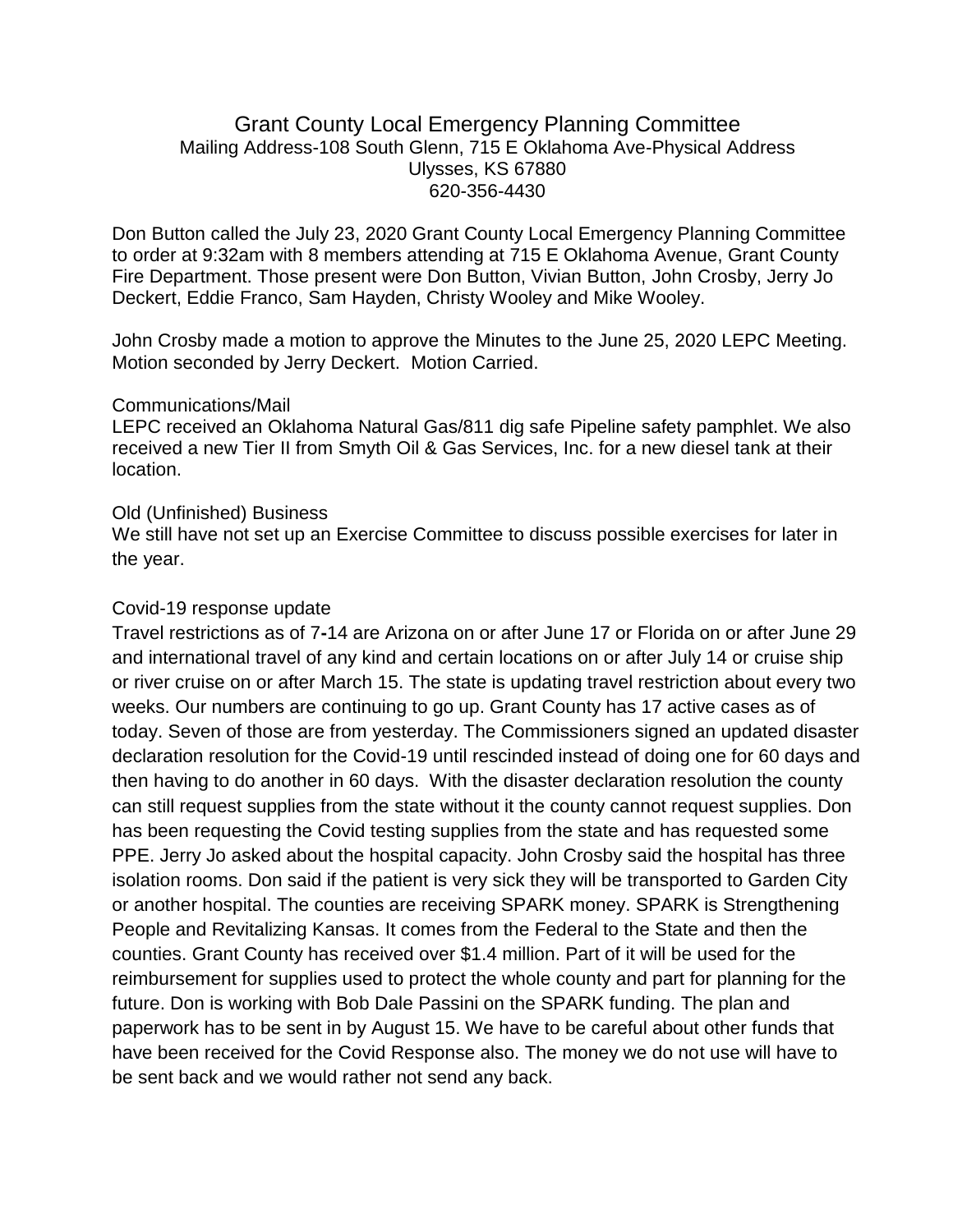# Grant County Local Emergency Planning Committee Mailing Address-108 South Glenn, 715 E Oklahoma Ave-Physical Address Ulysses, KS 67880 620-356-4430

Don Button called the July 23, 2020 Grant County Local Emergency Planning Committee to order at 9:32am with 8 members attending at 715 E Oklahoma Avenue, Grant County Fire Department. Those present were Don Button, Vivian Button, John Crosby, Jerry Jo Deckert, Eddie Franco, Sam Hayden, Christy Wooley and Mike Wooley.

John Crosby made a motion to approve the Minutes to the June 25, 2020 LEPC Meeting. Motion seconded by Jerry Deckert. Motion Carried.

### Communications/Mail

LEPC received an Oklahoma Natural Gas/811 dig safe Pipeline safety pamphlet. We also received a new Tier II from Smyth Oil & Gas Services, Inc. for a new diesel tank at their location.

### Old (Unfinished) Business

We still have not set up an Exercise Committee to discuss possible exercises for later in the year.

## Covid-19 response update

Travel restrictions as of 7**-**14 are Arizona on or after June 17 or Florida on or after June 29 and international travel of any kind and certain locations on or after July 14 or cruise ship or river cruise on or after March 15. The state is updating travel restriction about every two weeks. Our numbers are continuing to go up. Grant County has 17 active cases as of today. Seven of those are from yesterday. The Commissioners signed an updated disaster declaration resolution for the Covid-19 until rescinded instead of doing one for 60 days and then having to do another in 60 days. With the disaster declaration resolution the county can still request supplies from the state without it the county cannot request supplies. Don has been requesting the Covid testing supplies from the state and has requested some PPE. Jerry Jo asked about the hospital capacity. John Crosby said the hospital has three isolation rooms. Don said if the patient is very sick they will be transported to Garden City or another hospital. The counties are receiving SPARK money. SPARK is Strengthening People and Revitalizing Kansas. It comes from the Federal to the State and then the counties. Grant County has received over \$1.4 million. Part of it will be used for the reimbursement for supplies used to protect the whole county and part for planning for the future. Don is working with Bob Dale Passini on the SPARK funding. The plan and paperwork has to be sent in by August 15. We have to be careful about other funds that have been received for the Covid Response also. The money we do not use will have to be sent back and we would rather not send any back.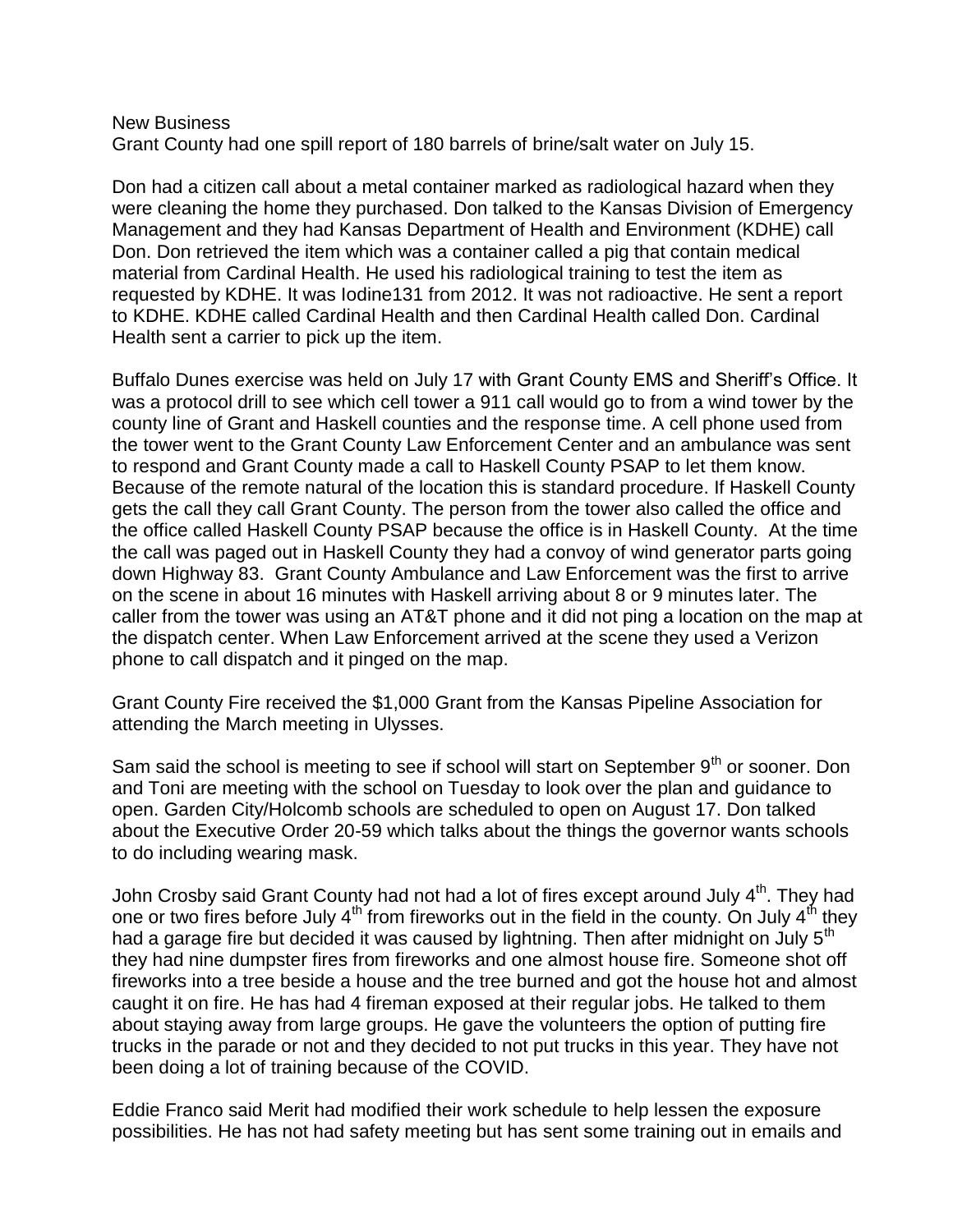#### New Business Grant County had one spill report of 180 barrels of brine/salt water on July 15.

Don had a citizen call about a metal container marked as radiological hazard when they were cleaning the home they purchased. Don talked to the Kansas Division of Emergency Management and they had Kansas Department of Health and Environment (KDHE) call Don. Don retrieved the item which was a container called a pig that contain medical material from Cardinal Health. He used his radiological training to test the item as requested by KDHE. It was Iodine131 from 2012. It was not radioactive. He sent a report to KDHE. KDHE called Cardinal Health and then Cardinal Health called Don. Cardinal Health sent a carrier to pick up the item.

Buffalo Dunes exercise was held on July 17 with Grant County EMS and Sheriff's Office. It was a protocol drill to see which cell tower a 911 call would go to from a wind tower by the county line of Grant and Haskell counties and the response time. A cell phone used from the tower went to the Grant County Law Enforcement Center and an ambulance was sent to respond and Grant County made a call to Haskell County PSAP to let them know. Because of the remote natural of the location this is standard procedure. If Haskell County gets the call they call Grant County. The person from the tower also called the office and the office called Haskell County PSAP because the office is in Haskell County. At the time the call was paged out in Haskell County they had a convoy of wind generator parts going down Highway 83. Grant County Ambulance and Law Enforcement was the first to arrive on the scene in about 16 minutes with Haskell arriving about 8 or 9 minutes later. The caller from the tower was using an AT&T phone and it did not ping a location on the map at the dispatch center. When Law Enforcement arrived at the scene they used a Verizon phone to call dispatch and it pinged on the map.

Grant County Fire received the \$1,000 Grant from the Kansas Pipeline Association for attending the March meeting in Ulysses.

Sam said the school is meeting to see if school will start on September  $9<sup>th</sup>$  or sooner. Don and Toni are meeting with the school on Tuesday to look over the plan and guidance to open. Garden City/Holcomb schools are scheduled to open on August 17. Don talked about the Executive Order 20-59 which talks about the things the governor wants schools to do including wearing mask.

John Crosby said Grant County had not had a lot of fires except around July 4<sup>th</sup>. They had one or two fires before July  $4<sup>th</sup>$  from fireworks out in the field in the county. On July  $4<sup>th</sup>$  they had a garage fire but decided it was caused by lightning. Then after midnight on July  $5<sup>th</sup>$ they had nine dumpster fires from fireworks and one almost house fire. Someone shot off fireworks into a tree beside a house and the tree burned and got the house hot and almost caught it on fire. He has had 4 fireman exposed at their regular jobs. He talked to them about staying away from large groups. He gave the volunteers the option of putting fire trucks in the parade or not and they decided to not put trucks in this year. They have not been doing a lot of training because of the COVID.

Eddie Franco said Merit had modified their work schedule to help lessen the exposure possibilities. He has not had safety meeting but has sent some training out in emails and